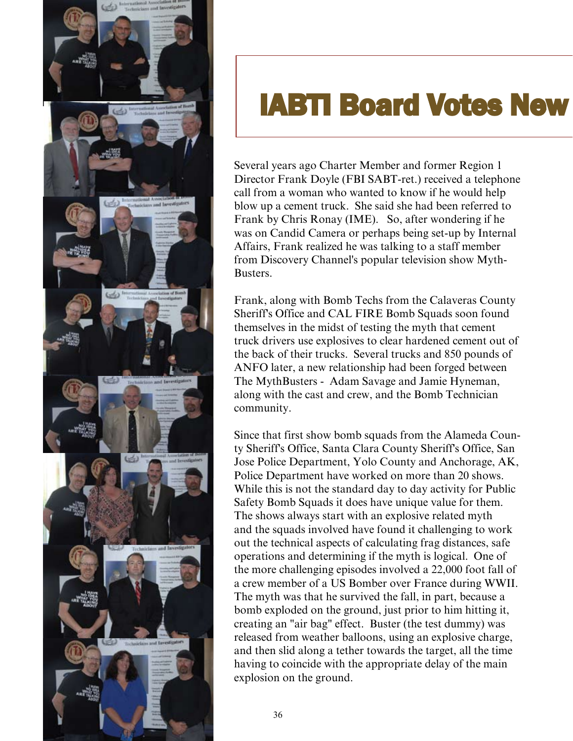

## **IABTI Board Votes New**

Several years ago Charter Member and former Region 1 Director Frank Doyle (FBI SABT-ret.) received a telephone call from a woman who wanted to know if he would help blow up a cement truck. She said she had been referred to Frank by Chris Ronay (IME). So, after wondering if he was on Candid Camera or perhaps being set-up by Internal Affairs, Frank realized he was talking to a staff member from Discovery Channel's popular television show Myth-Busters.

Frank, along with Bomb Techs from the Calaveras County Sheriff's Office and CAL FIRE Bomb Squads soon found themselves in the midst of testing the myth that cement truck drivers use explosives to clear hardened cement out of the back of their trucks. Several trucks and 850 pounds of ANFO later, a new relationship had been forged between The MythBusters - Adam Savage and Jamie Hyneman, along with the cast and crew, and the Bomb Technician community.

Since that first show bomb squads from the Alameda County Sheriff's Office, Santa Clara County Sheriff's Office, San Jose Police Department, Yolo County and Anchorage, AK, Police Department have worked on more than 20 shows. While this is not the standard day to day activity for Public Safety Bomb Squads it does have unique value for them. The shows always start with an explosive related myth and the squads involved have found it challenging to work out the technical aspects of calculating frag distances, safe operations and determining if the myth is logical. One of the more challenging episodes involved a 22,000 foot fall of a crew member of a US Bomber over France during WWII. The myth was that he survived the fall, in part, because a bomb exploded on the ground, just prior to him hitting it, creating an "air bag" effect. Buster (the test dummy) was released from weather balloons, using an explosive charge, and then slid along a tether towards the target, all the time having to coincide with the appropriate delay of the main explosion on the ground.